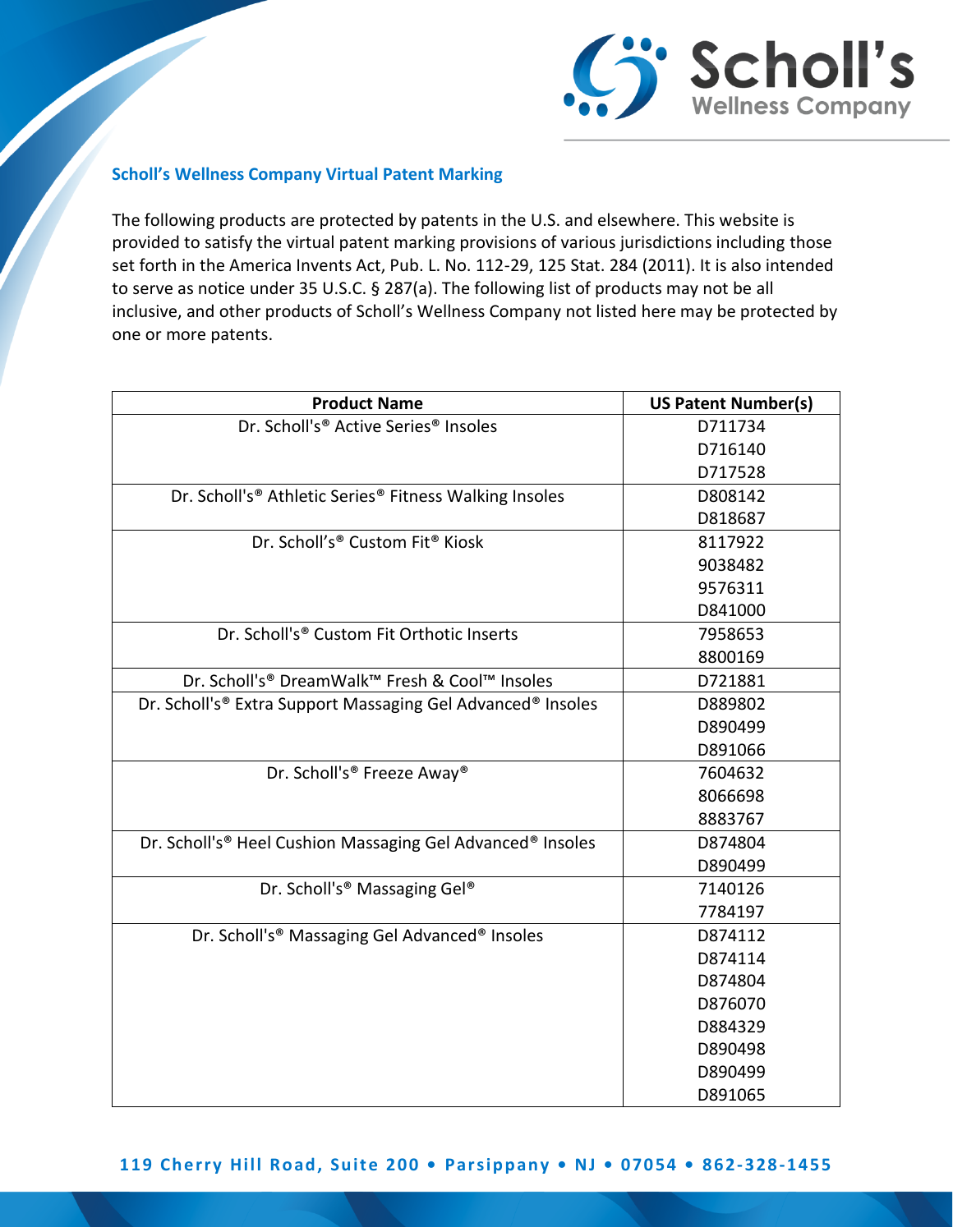

## **Scholl's Wellness Company Virtual Patent Marking**

The following products are protected by patents in the U.S. and elsewhere. This website is provided to satisfy the virtual patent marking provisions of various jurisdictions including those set forth in the America Invents Act, Pub. L. No. 112-29, 125 Stat. 284 (2011). It is also intended to serve as notice under 35 U.S.C. § 287(a). The following list of products may not be all inclusive, and other products of Scholl's Wellness Company not listed here may be protected by one or more patents.

| <b>Product Name</b>                                         | <b>US Patent Number(s)</b> |
|-------------------------------------------------------------|----------------------------|
| Dr. Scholl's® Active Series® Insoles                        | D711734                    |
|                                                             | D716140                    |
|                                                             | D717528                    |
| Dr. Scholl's® Athletic Series® Fitness Walking Insoles      | D808142                    |
|                                                             | D818687                    |
| Dr. Scholl's® Custom Fit® Kiosk                             | 8117922                    |
|                                                             | 9038482                    |
|                                                             | 9576311                    |
|                                                             | D841000                    |
| Dr. Scholl's® Custom Fit Orthotic Inserts                   | 7958653                    |
|                                                             | 8800169                    |
| Dr. Scholl's® DreamWalk™ Fresh & Cool™ Insoles              | D721881                    |
| Dr. Scholl's® Extra Support Massaging Gel Advanced® Insoles | D889802                    |
|                                                             | D890499                    |
|                                                             | D891066                    |
| Dr. Scholl's® Freeze Away®                                  | 7604632                    |
|                                                             | 8066698                    |
|                                                             | 8883767                    |
| Dr. Scholl's® Heel Cushion Massaging Gel Advanced® Insoles  | D874804                    |
|                                                             | D890499                    |
| Dr. Scholl's® Massaging Gel®                                | 7140126                    |
|                                                             | 7784197                    |
| Dr. Scholl's® Massaging Gel Advanced® Insoles               | D874112                    |
|                                                             | D874114                    |
|                                                             | D874804                    |
|                                                             | D876070                    |
|                                                             | D884329                    |
|                                                             | D890498                    |
|                                                             | D890499                    |
|                                                             | D891065                    |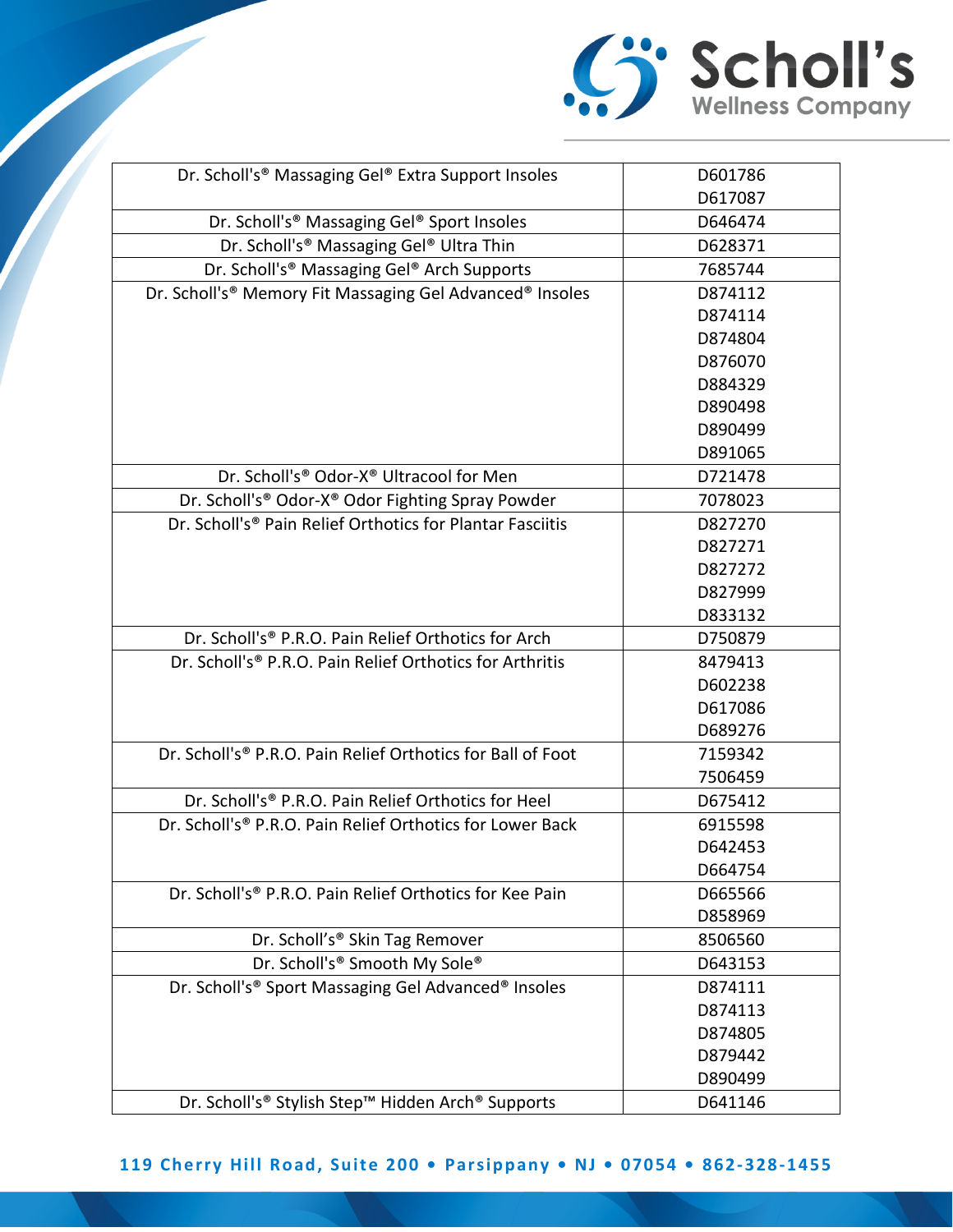

| Dr. Scholl's® Massaging Gel® Extra Support Insoles                    | D601786 |
|-----------------------------------------------------------------------|---------|
|                                                                       | D617087 |
| Dr. Scholl's® Massaging Gel® Sport Insoles                            | D646474 |
| Dr. Scholl's® Massaging Gel® Ultra Thin                               | D628371 |
| Dr. Scholl's® Massaging Gel® Arch Supports                            | 7685744 |
| Dr. Scholl's® Memory Fit Massaging Gel Advanced® Insoles              | D874112 |
|                                                                       | D874114 |
|                                                                       | D874804 |
|                                                                       | D876070 |
|                                                                       | D884329 |
|                                                                       | D890498 |
|                                                                       | D890499 |
|                                                                       | D891065 |
| Dr. Scholl's® Odor-X® Ultracool for Men                               | D721478 |
| Dr. Scholl's® Odor-X® Odor Fighting Spray Powder                      | 7078023 |
| Dr. Scholl's® Pain Relief Orthotics for Plantar Fasciitis             | D827270 |
|                                                                       | D827271 |
|                                                                       | D827272 |
|                                                                       | D827999 |
|                                                                       | D833132 |
| Dr. Scholl's® P.R.O. Pain Relief Orthotics for Arch                   | D750879 |
| Dr. Scholl's® P.R.O. Pain Relief Orthotics for Arthritis              | 8479413 |
|                                                                       | D602238 |
|                                                                       | D617086 |
|                                                                       | D689276 |
| Dr. Scholl's® P.R.O. Pain Relief Orthotics for Ball of Foot           | 7159342 |
|                                                                       | 7506459 |
| Dr. Scholl's® P.R.O. Pain Relief Orthotics for Heel                   | D675412 |
| Dr. Scholl's <sup>®</sup> P.R.O. Pain Relief Orthotics for Lower Back | 6915598 |
|                                                                       | D642453 |
|                                                                       | D664754 |
| Dr. Scholl's <sup>®</sup> P.R.O. Pain Relief Orthotics for Kee Pain   | D665566 |
|                                                                       | D858969 |
| Dr. Scholl's® Skin Tag Remover                                        | 8506560 |
| Dr. Scholl's® Smooth My Sole®                                         | D643153 |
| Dr. Scholl's® Sport Massaging Gel Advanced® Insoles                   | D874111 |
|                                                                       | D874113 |
|                                                                       | D874805 |
|                                                                       | D879442 |
|                                                                       | D890499 |
| Dr. Scholl's® Stylish Step™ Hidden Arch® Supports                     | D641146 |